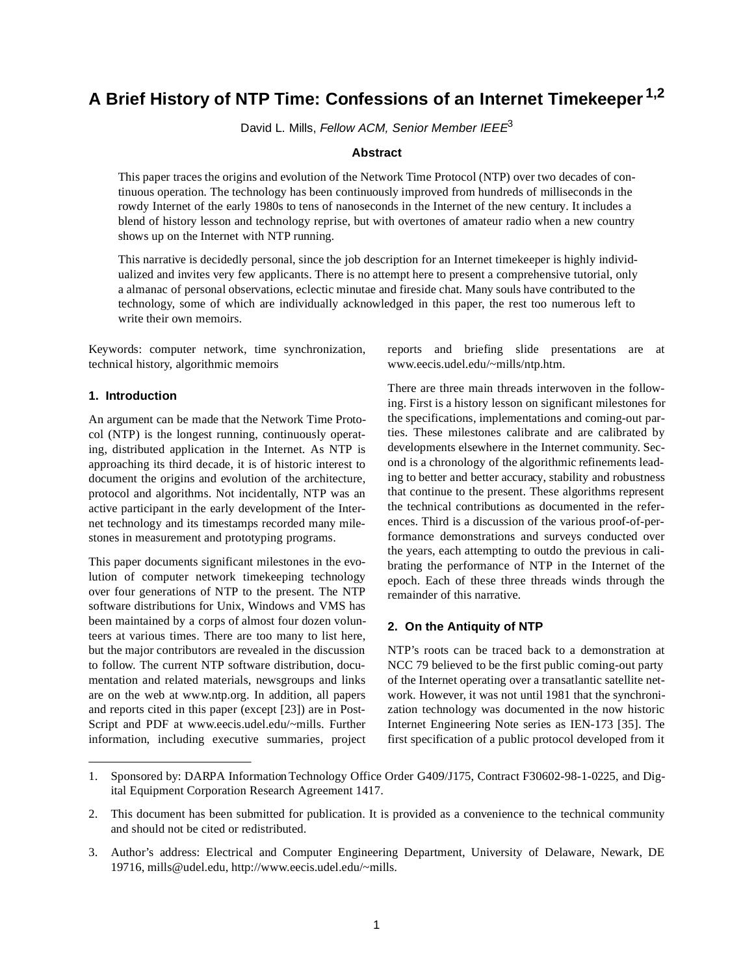# **A Brief History of NTP Time: Confessions of an Internet Timekeeper 1,2**

David L. Mills, Fellow ACM, Senior Member IEE $E<sup>3</sup>$ 

## **Abstract**

This paper traces the origins and evolution of the Network Time Protocol (NTP) over two decades of continuous operation. The technology has been continuously improved from hundreds of milliseconds in the rowdy Internet of the early 1980s to tens of nanoseconds in the Internet of the new century. It includes a blend of history lesson and technology reprise, but with overtones of amateur radio when a new country shows up on the Internet with NTP running.

This narrative is decidedly personal, since the job description for an Internet timekeeper is highly individualized and invites very few applicants. There is no attempt here to present a comprehensive tutorial, only a almanac of personal observations, eclectic minutae and fireside chat. Many souls have contributed to the technology, some of which are individually acknowledged in this paper, the rest too numerous left to write their own memoirs.

Keywords: computer network, time synchronization, technical history, algorithmic memoirs

## **1. Introduction**

An argument can be made that the Network Time Protocol (NTP) is the longest running, continuously operating, distributed application in the Internet. As NTP is approaching its third decade, it is of historic interest to document the origins and evolution of the architecture, protocol and algorithms. Not incidentally, NTP was an active participant in the early development of the Internet technology and its timestamps recorded many milestones in measurement and prototyping programs.

This paper documents significant milestones in the evolution of computer network timekeeping technology over four generations of NTP to the present. The NTP software distributions for Unix, Windows and VMS has been maintained by a corps of almost four dozen volunteers at various times. There are too many to list here, but the major contributors are revealed in the discussion to follow. The current NTP software distribution, documentation and related materials, newsgroups and links are on the web at www.ntp.org. In addition, all papers and reports cited in this paper (except [23]) are in Post-Script and PDF at www.eecis.udel.edu/~mills. Further information, including executive summaries, project reports and briefing slide presentations are at www.eecis.udel.edu/~mills/ntp.htm.

There are three main threads interwoven in the following. First is a history lesson on significant milestones for the specifications, implementations and coming-out parties. These milestones calibrate and are calibrated by developments elsewhere in the Internet community. Second is a chronology of the algorithmic refinements leading to better and better accuracy, stability and robustness that continue to the present. These algorithms represent the technical contributions as documented in the references. Third is a discussion of the various proof-of-performance demonstrations and surveys conducted over the years, each attempting to outdo the previous in calibrating the performance of NTP in the Internet of the epoch. Each of these three threads winds through the remainder of this narrative.

#### **2. On the Antiquity of NTP**

NTP's roots can be traced back to a demonstration at NCC 79 believed to be the first public coming-out party of the Internet operating over a transatlantic satellite network. However, it was not until 1981 that the synchronization technology was documented in the now historic Internet Engineering Note series as IEN-173 [35]. The first specification of a public protocol developed from it

<sup>1.</sup> Sponsored by: DARPA Information Technology Office Order G409/J175, Contract F30602-98-1-0225, and Digital Equipment Corporation Research Agreement 1417.

<sup>2.</sup> This document has been submitted for publication. It is provided as a convenience to the technical community and should not be cited or redistributed.

<sup>3.</sup> Author's address: Electrical and Computer Engineering Department, University of Delaware, Newark, DE 19716, mills@udel.edu, http://www.eecis.udel.edu/~mills.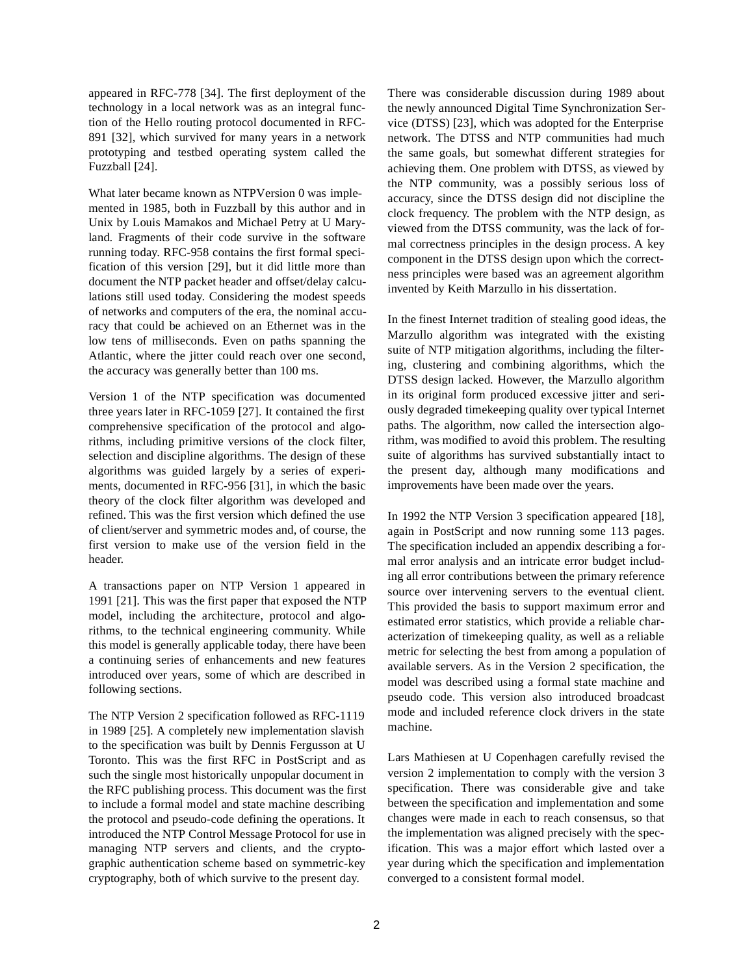appeared in RFC-778 [34]. The first deployment of the technology in a local network was as an integral function of the Hello routing protocol documented in RFC-891 [32], which survived for many years in a network prototyping and testbed operating system called the Fuzzball [24].

What later became known as NTPVersion 0 was implemented in 1985, both in Fuzzball by this author and in Unix by Louis Mamakos and Michael Petry at U Maryland. Fragments of their code survive in the software running today. RFC-958 contains the first formal specification of this version [29], but it did little more than document the NTP packet header and offset/delay calculations still used today. Considering the modest speeds of networks and computers of the era, the nominal accuracy that could be achieved on an Ethernet was in the low tens of milliseconds. Even on paths spanning the Atlantic, where the jitter could reach over one second, the accuracy was generally better than 100 ms.

Version 1 of the NTP specification was documented three years later in RFC-1059 [27]. It contained the first comprehensive specification of the protocol and algorithms, including primitive versions of the clock filter, selection and discipline algorithms. The design of these algorithms was guided largely by a series of experiments, documented in RFC-956 [31], in which the basic theory of the clock filter algorithm was developed and refined. This was the first version which defined the use of client/server and symmetric modes and, of course, the first version to make use of the version field in the header.

A transactions paper on NTP Version 1 appeared in 1991 [21]. This was the first paper that exposed the NTP model, including the architecture, protocol and algorithms, to the technical engineering community. While this model is generally applicable today, there have been a continuing series of enhancements and new features introduced over years, some of which are described in following sections.

The NTP Version 2 specification followed as RFC-1119 in 1989 [25]. A completely new implementation slavish to the specification was built by Dennis Fergusson at U Toronto. This was the first RFC in PostScript and as such the single most historically unpopular document in the RFC publishing process. This document was the first to include a formal model and state machine describing the protocol and pseudo-code defining the operations. It introduced the NTP Control Message Protocol for use in managing NTP servers and clients, and the cryptographic authentication scheme based on symmetric-key cryptography, both of which survive to the present day.

There was considerable discussion during 1989 about the newly announced Digital Time Synchronization Service (DTSS) [23], which was adopted for the Enterprise network. The DTSS and NTP communities had much the same goals, but somewhat different strategies for achieving them. One problem with DTSS, as viewed by the NTP community, was a possibly serious loss of accuracy, since the DTSS design did not discipline the clock frequency. The problem with the NTP design, as viewed from the DTSS community, was the lack of formal correctness principles in the design process. A key component in the DTSS design upon which the correctness principles were based was an agreement algorithm invented by Keith Marzullo in his dissertation.

In the finest Internet tradition of stealing good ideas, the Marzullo algorithm was integrated with the existing suite of NTP mitigation algorithms, including the filtering, clustering and combining algorithms, which the DTSS design lacked. However, the Marzullo algorithm in its original form produced excessive jitter and seriously degraded timekeeping quality over typical Internet paths. The algorithm, now called the intersection algorithm, was modified to avoid this problem. The resulting suite of algorithms has survived substantially intact to the present day, although many modifications and improvements have been made over the years.

In 1992 the NTP Version 3 specification appeared [18], again in PostScript and now running some 113 pages. The specification included an appendix describing a formal error analysis and an intricate error budget including all error contributions between the primary reference source over intervening servers to the eventual client. This provided the basis to support maximum error and estimated error statistics, which provide a reliable characterization of timekeeping quality, as well as a reliable metric for selecting the best from among a population of available servers. As in the Version 2 specification, the model was described using a formal state machine and pseudo code. This version also introduced broadcast mode and included reference clock drivers in the state machine.

Lars Mathiesen at U Copenhagen carefully revised the version 2 implementation to comply with the version 3 specification. There was considerable give and take between the specification and implementation and some changes were made in each to reach consensus, so that the implementation was aligned precisely with the specification. This was a major effort which lasted over a year during which the specification and implementation converged to a consistent formal model.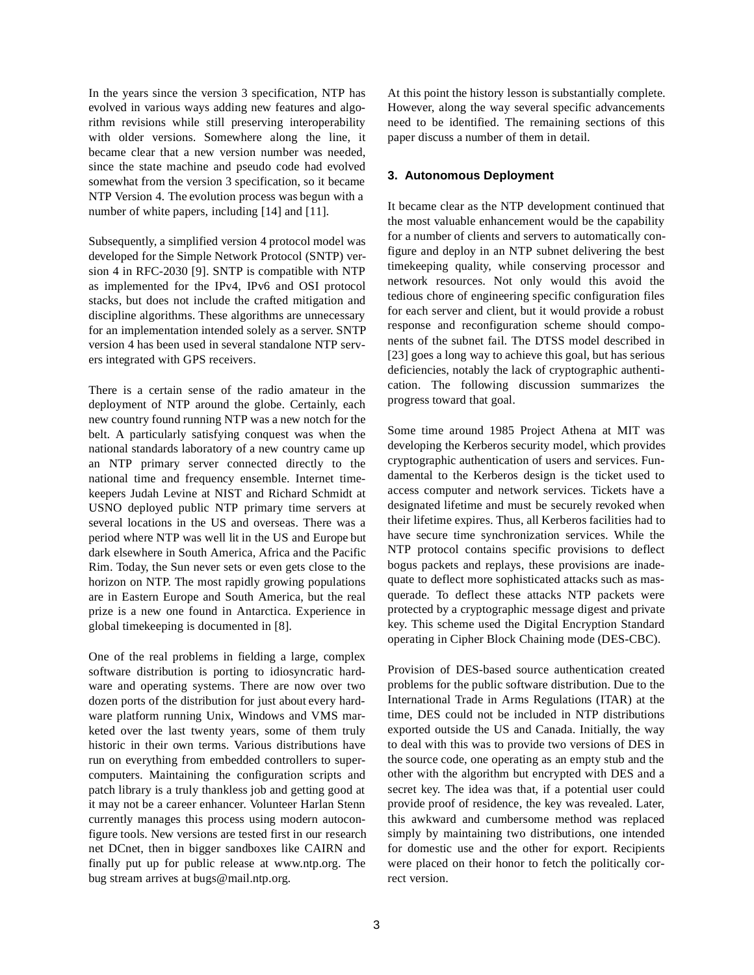In the years since the version 3 specification, NTP has evolved in various ways adding new features and algorithm revisions while still preserving interoperability with older versions. Somewhere along the line, it became clear that a new version number was needed, since the state machine and pseudo code had evolved somewhat from the version 3 specification, so it became NTP Version 4. The evolution process was begun with a number of white papers, including [14] and [11].

Subsequently, a simplified version 4 protocol model was developed for the Simple Network Protocol (SNTP) version 4 in RFC-2030 [9]. SNTP is compatible with NTP as implemented for the IPv4, IPv6 and OSI protocol stacks, but does not include the crafted mitigation and discipline algorithms. These algorithms are unnecessary for an implementation intended solely as a server. SNTP version 4 has been used in several standalone NTP servers integrated with GPS receivers.

There is a certain sense of the radio amateur in the deployment of NTP around the globe. Certainly, each new country found running NTP was a new notch for the belt. A particularly satisfying conquest was when the national standards laboratory of a new country came up an NTP primary server connected directly to the national time and frequency ensemble. Internet timekeepers Judah Levine at NIST and Richard Schmidt at USNO deployed public NTP primary time servers at several locations in the US and overseas. There was a period where NTP was well lit in the US and Europe but dark elsewhere in South America, Africa and the Pacific Rim. Today, the Sun never sets or even gets close to the horizon on NTP. The most rapidly growing populations are in Eastern Europe and South America, but the real prize is a new one found in Antarctica. Experience in global timekeeping is documented in [8].

One of the real problems in fielding a large, complex software distribution is porting to idiosyncratic hardware and operating systems. There are now over two dozen ports of the distribution for just about every hardware platform running Unix, Windows and VMS marketed over the last twenty years, some of them truly historic in their own terms. Various distributions have run on everything from embedded controllers to supercomputers. Maintaining the configuration scripts and patch library is a truly thankless job and getting good at it may not be a career enhancer. Volunteer Harlan Stenn currently manages this process using modern autoconfigure tools. New versions are tested first in our research net DCnet, then in bigger sandboxes like CAIRN and finally put up for public release at www.ntp.org. The bug stream arrives at bugs@mail.ntp.org.

At this point the history lesson is substantially complete. However, along the way several specific advancements need to be identified. The remaining sections of this paper discuss a number of them in detail.

# **3. Autonomous Deployment**

It became clear as the NTP development continued that the most valuable enhancement would be the capability for a number of clients and servers to automatically configure and deploy in an NTP subnet delivering the best timekeeping quality, while conserving processor and network resources. Not only would this avoid the tedious chore of engineering specific configuration files for each server and client, but it would provide a robust response and reconfiguration scheme should components of the subnet fail. The DTSS model described in [23] goes a long way to achieve this goal, but has serious deficiencies, notably the lack of cryptographic authentication. The following discussion summarizes the progress toward that goal.

Some time around 1985 Project Athena at MIT was developing the Kerberos security model, which provides cryptographic authentication of users and services. Fundamental to the Kerberos design is the ticket used to access computer and network services. Tickets have a designated lifetime and must be securely revoked when their lifetime expires. Thus, all Kerberos facilities had to have secure time synchronization services. While the NTP protocol contains specific provisions to deflect bogus packets and replays, these provisions are inadequate to deflect more sophisticated attacks such as masquerade. To deflect these attacks NTP packets were protected by a cryptographic message digest and private key. This scheme used the Digital Encryption Standard operating in Cipher Block Chaining mode (DES-CBC).

Provision of DES-based source authentication created problems for the public software distribution. Due to the International Trade in Arms Regulations (ITAR) at the time, DES could not be included in NTP distributions exported outside the US and Canada. Initially, the way to deal with this was to provide two versions of DES in the source code, one operating as an empty stub and the other with the algorithm but encrypted with DES and a secret key. The idea was that, if a potential user could provide proof of residence, the key was revealed. Later, this awkward and cumbersome method was replaced simply by maintaining two distributions, one intended for domestic use and the other for export. Recipients were placed on their honor to fetch the politically correct version.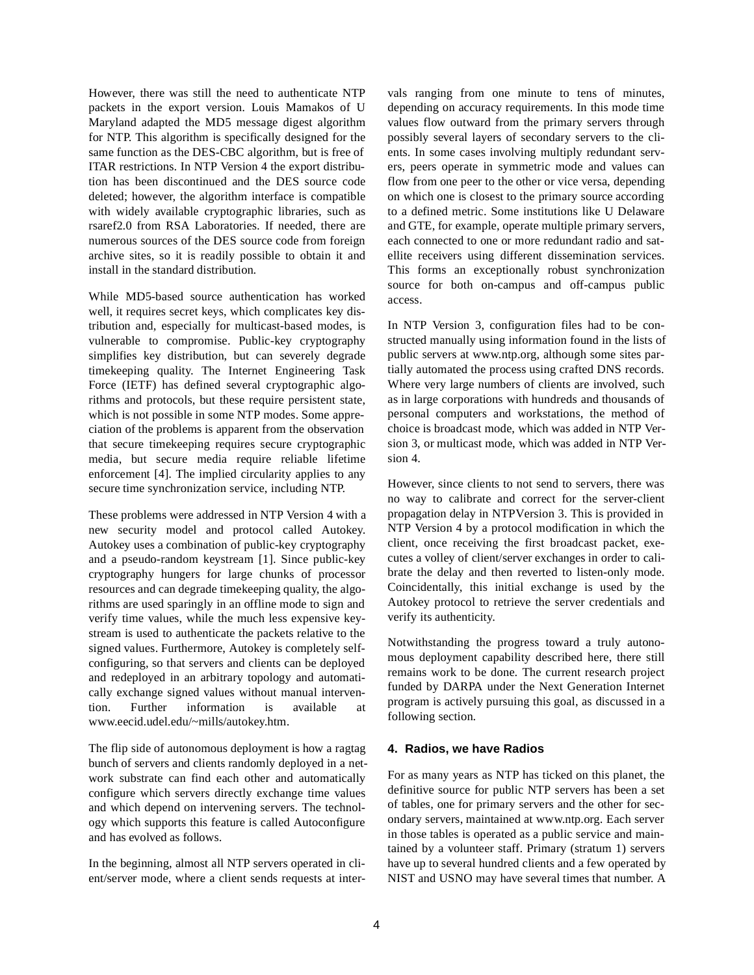However, there was still the need to authenticate NTP packets in the export version. Louis Mamakos of U Maryland adapted the MD5 message digest algorithm for NTP. This algorithm is specifically designed for the same function as the DES-CBC algorithm, but is free of ITAR restrictions. In NTP Version 4 the export distribution has been discontinued and the DES source code deleted; however, the algorithm interface is compatible with widely available cryptographic libraries, such as rsaref2.0 from RSA Laboratories. If needed, there are numerous sources of the DES source code from foreign archive sites, so it is readily possible to obtain it and install in the standard distribution.

While MD5-based source authentication has worked well, it requires secret keys, which complicates key distribution and, especially for multicast-based modes, is vulnerable to compromise. Public-key cryptography simplifies key distribution, but can severely degrade timekeeping quality. The Internet Engineering Task Force (IETF) has defined several cryptographic algorithms and protocols, but these require persistent state, which is not possible in some NTP modes. Some appreciation of the problems is apparent from the observation that secure timekeeping requires secure cryptographic media, but secure media require reliable lifetime enforcement [4]. The implied circularity applies to any secure time synchronization service, including NTP.

These problems were addressed in NTP Version 4 with a new security model and protocol called Autokey. Autokey uses a combination of public-key cryptography and a pseudo-random keystream [1]. Since public-key cryptography hungers for large chunks of processor resources and can degrade timekeeping quality, the algorithms are used sparingly in an offline mode to sign and verify time values, while the much less expensive keystream is used to authenticate the packets relative to the signed values. Furthermore, Autokey is completely selfconfiguring, so that servers and clients can be deployed and redeployed in an arbitrary topology and automatically exchange signed values without manual intervention. Further information is available at www.eecid.udel.edu/~mills/autokey.htm.

The flip side of autonomous deployment is how a ragtag bunch of servers and clients randomly deployed in a network substrate can find each other and automatically configure which servers directly exchange time values and which depend on intervening servers. The technology which supports this feature is called Autoconfigure and has evolved as follows.

In the beginning, almost all NTP servers operated in client/server mode, where a client sends requests at intervals ranging from one minute to tens of minutes, depending on accuracy requirements. In this mode time values flow outward from the primary servers through possibly several layers of secondary servers to the clients. In some cases involving multiply redundant servers, peers operate in symmetric mode and values can flow from one peer to the other or vice versa, depending on which one is closest to the primary source according to a defined metric. Some institutions like U Delaware and GTE, for example, operate multiple primary servers, each connected to one or more redundant radio and satellite receivers using different dissemination services. This forms an exceptionally robust synchronization source for both on-campus and off-campus public access.

In NTP Version 3, configuration files had to be constructed manually using information found in the lists of public servers at www.ntp.org, although some sites partially automated the process using crafted DNS records. Where very large numbers of clients are involved, such as in large corporations with hundreds and thousands of personal computers and workstations, the method of choice is broadcast mode, which was added in NTP Version 3, or multicast mode, which was added in NTP Version 4.

However, since clients to not send to servers, there was no way to calibrate and correct for the server-client propagation delay in NTP Version 3. This is provided in NTP Version 4 by a protocol modification in which the client, once receiving the first broadcast packet, executes a volley of client/server exchanges in order to calibrate the delay and then reverted to listen-only mode. Coincidentally, this initial exchange is used by the Autokey protocol to retrieve the server credentials and verify its authenticity.

Notwithstanding the progress toward a truly autonomous deployment capability described here, there still remains work to be done. The current research project funded by DARPA under the Next Generation Internet program is actively pursuing this goal, as discussed in a following section.

## **4. Radios, we have Radios**

For as many years as NTP has ticked on this planet, the definitive source for public NTP servers has been a set of tables, one for primary servers and the other for secondary servers, maintained at www.ntp.org. Each server in those tables is operated as a public service and maintained by a volunteer staff. Primary (stratum 1) servers have up to several hundred clients and a few operated by NIST and USNO may have several times that number. A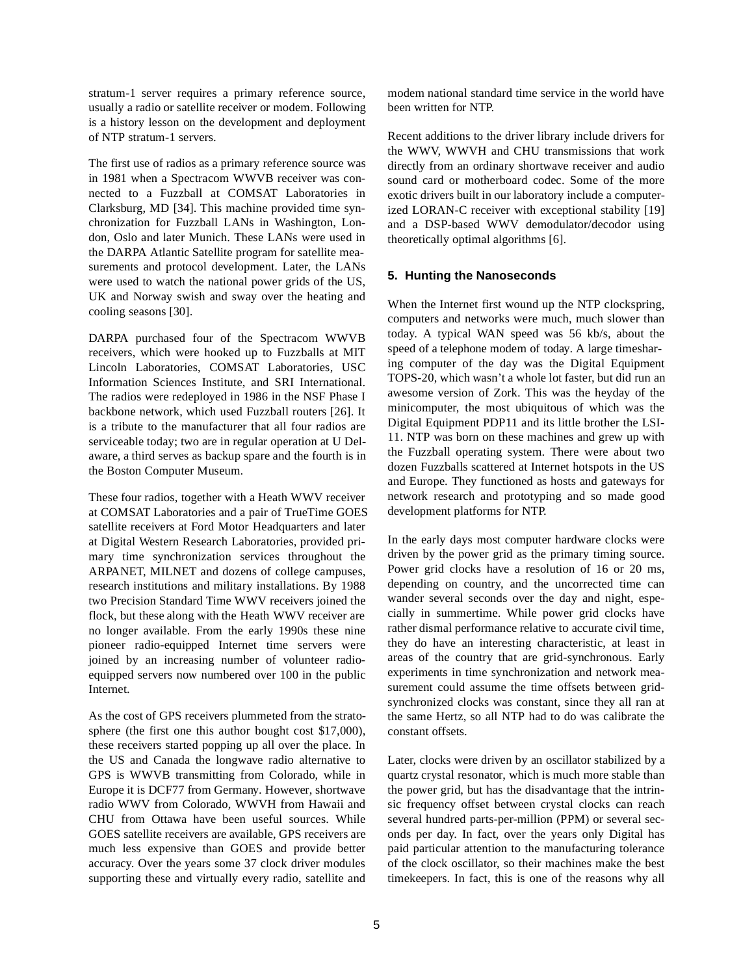stratum-1 server requires a primary reference source, usually a radio or satellite receiver or modem. Following is a history lesson on the development and deployment of NTP stratum-1 servers.

The first use of radios as a primary reference source was in 1981 when a Spectracom WWVB receiver was connected to a Fuzzball at COMSAT Laboratories in Clarksburg, MD [34]. This machine provided time synchronization for Fuzzball LANs in Washington, London, Oslo and later Munich. These LANs were used in the DARPA Atlantic Satellite program for satellite measurements and protocol development. Later, the LANs were used to watch the national power grids of the US, UK and Norway swish and sway over the heating and cooling seasons [30].

DARPA purchased four of the Spectracom WWVB receivers, which were hooked up to Fuzzballs at MIT Lincoln Laboratories, COMSAT Laboratories, USC Information Sciences Institute, and SRI International. The radios were redeployed in 1986 in the NSF Phase I backbone network, which used Fuzzball routers [26]. It is a tribute to the manufacturer that all four radios are serviceable today; two are in regular operation at U Delaware, a third serves as backup spare and the fourth is in the Boston Computer Museum.

These four radios, together with a Heath WWV receiver at COMSAT Laboratories and a pair of TrueTime GOES satellite receivers at Ford Motor Headquarters and later at Digital Western Research Laboratories, provided primary time synchronization services throughout the ARPANET, MILNET and dozens of college campuses, research institutions and military installations. By 1988 two Precision Standard Time WWV receivers joined the flock, but these along with the Heath WWV receiver are no longer available. From the early 1990s these nine pioneer radio-equipped Internet time servers were joined by an increasing number of volunteer radioequipped servers now numbered over 100 in the public Internet.

As the cost of GPS receivers plummeted from the stratosphere (the first one this author bought cost \$17,000), these receivers started popping up all over the place. In the US and Canada the longwave radio alternative to GPS is WWVB transmitting from Colorado, while in Europe it is DCF77 from Germany. However, shortwave radio WWV from Colorado, WWVH from Hawaii and CHU from Ottawa have been useful sources. While GOES satellite receivers are available, GPS receivers are much less expensive than GOES and provide better accuracy. Over the years some 37 clock driver modules supporting these and virtually every radio, satellite and modem national standard time service in the world have been written for NTP.

Recent additions to the driver library include drivers for the WWV, WWVH and CHU transmissions that work directly from an ordinary shortwave receiver and audio sound card or motherboard codec. Some of the more exotic drivers built in our laboratory include a computerized LORAN-C receiver with exceptional stability [19] and a DSP-based WWV demodulator/decodor using theoretically optimal algorithms [6].

## **5. Hunting the Nanoseconds**

When the Internet first wound up the NTP clockspring, computers and networks were much, much slower than today. A typical WAN speed was 56 kb/s, about the speed of a telephone modem of today. A large timesharing computer of the day was the Digital Equipment TOPS-20, which wasn't a whole lot faster, but did run an awesome version of Zork. This was the heyday of the minicomputer, the most ubiquitous of which was the Digital Equipment PDP11 and its little brother the LSI-11. NTP was born on these machines and grew up with the Fuzzball operating system. There were about two dozen Fuzzballs scattered at Internet hotspots in the US and Europe. They functioned as hosts and gateways for network research and prototyping and so made good development platforms for NTP.

In the early days most computer hardware clocks were driven by the power grid as the primary timing source. Power grid clocks have a resolution of 16 or 20 ms, depending on country, and the uncorrected time can wander several seconds over the day and night, especially in summertime. While power grid clocks have rather dismal performance relative to accurate civil time, they do have an interesting characteristic, at least in areas of the country that are grid-synchronous. Early experiments in time synchronization and network measurement could assume the time offsets between gridsynchronized clocks was constant, since they all ran at the same Hertz, so all NTP had to do was calibrate the constant offsets.

Later, clocks were driven by an oscillator stabilized by a quartz crystal resonator, which is much more stable than the power grid, but has the disadvantage that the intrinsic frequency offset between crystal clocks can reach several hundred parts-per-million (PPM) or several seconds per day. In fact, over the years only Digital has paid particular attention to the manufacturing tolerance of the clock oscillator, so their machines make the best timekeepers. In fact, this is one of the reasons why all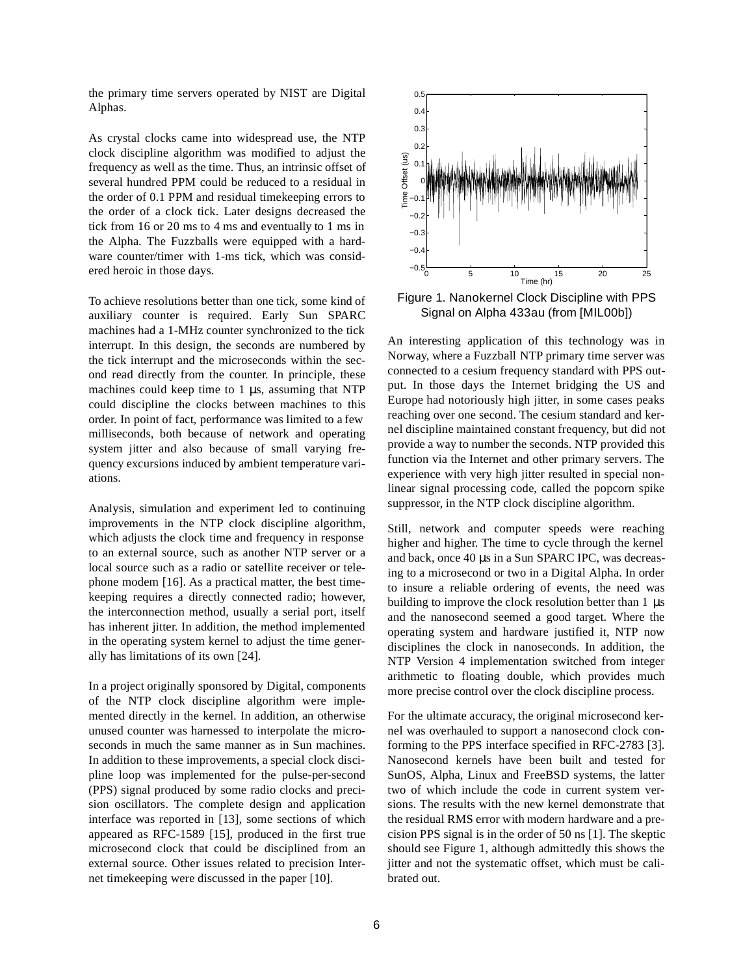the primary time servers operated by NIST are Digital Alphas.

As crystal clocks came into widespread use, the NTP clock discipline algorithm was modified to adjust the frequency as well as the time. Thus, an intrinsic offset of several hundred PPM could be reduced to a residual in the order of 0.1 PPM and residual timekeeping errors to the order of a clock tick. Later designs decreased the tick from 16 or 20 ms to 4 ms and eventually to 1 ms in the Alpha. The Fuzzballs were equipped with a hardware counter/timer with 1-ms tick, which was considered heroic in those days.

To achieve resolutions better than one tick, some kind of auxiliary counter is required. Early Sun SPARC machines had a 1-MHz counter synchronized to the tick interrupt. In this design, the seconds are numbered by the tick interrupt and the microseconds within the second read directly from the counter. In principle, these machines could keep time to 1 µs, assuming that NTP could discipline the clocks between machines to this order. In point of fact, performance was limited to a few milliseconds, both because of network and operating system jitter and also because of small varying frequency excursions induced by ambient temperature variations.

Analysis, simulation and experiment led to continuing improvements in the NTP clock discipline algorithm, which adjusts the clock time and frequency in response to an external source, such as another NTP server or a local source such as a radio or satellite receiver or telephone modem [16]. As a practical matter, the best timekeeping requires a directly connected radio; however, the interconnection method, usually a serial port, itself has inherent jitter. In addition, the method implemented in the operating system kernel to adjust the time generally has limitations of its own [24].

In a project originally sponsored by Digital, components of the NTP clock discipline algorithm were implemented directly in the kernel. In addition, an otherwise unused counter was harnessed to interpolate the microseconds in much the same manner as in Sun machines. In addition to these improvements, a special clock discipline loop was implemented for the pulse-per-second (PPS) signal produced by some radio clocks and precision oscillators. The complete design and application interface was reported in [13], some sections of which appeared as RFC-1589 [15], produced in the first true microsecond clock that could be disciplined from an external source. Other issues related to precision Internet timekeeping were discussed in the paper [10].



Figure 1. Nanokernel Clock Discipline with PPS Signal on Alpha 433au (from [MIL00b])

An interesting application of this technology was in Norway, where a Fuzzball NTP primary time server was connected to a cesium frequency standard with PPS output. In those days the Internet bridging the US and Europe had notoriously high jitter, in some cases peaks reaching over one second. The cesium standard and kernel discipline maintained constant frequency, but did not provide a way to number the seconds. NTP provided this function via the Internet and other primary servers. The experience with very high jitter resulted in special nonlinear signal processing code, called the popcorn spike suppressor, in the NTP clock discipline algorithm.

Still, network and computer speeds were reaching higher and higher. The time to cycle through the kernel and back, once 40 µs in a Sun SPARC IPC, was decreasing to a microsecond or two in a Digital Alpha. In order to insure a reliable ordering of events, the need was building to improve the clock resolution better than  $1 \mu s$ and the nanosecond seemed a good target. Where the operating system and hardware justified it, NTP now disciplines the clock in nanoseconds. In addition, the NTP Version 4 implementation switched from integer arithmetic to floating double, which provides much more precise control over the clock discipline process.

For the ultimate accuracy, the original microsecond kernel was overhauled to support a nanosecond clock conforming to the PPS interface specified in RFC-2783 [3]. Nanosecond kernels have been built and tested for SunOS, Alpha, Linux and FreeBSD systems, the latter two of which include the code in current system versions. The results with the new kernel demonstrate that the residual RMS error with modern hardware and a precision PPS signal is in the order of 50 ns [1]. The skeptic should see Figure 1, although admittedly this shows the jitter and not the systematic offset, which must be calibrated out.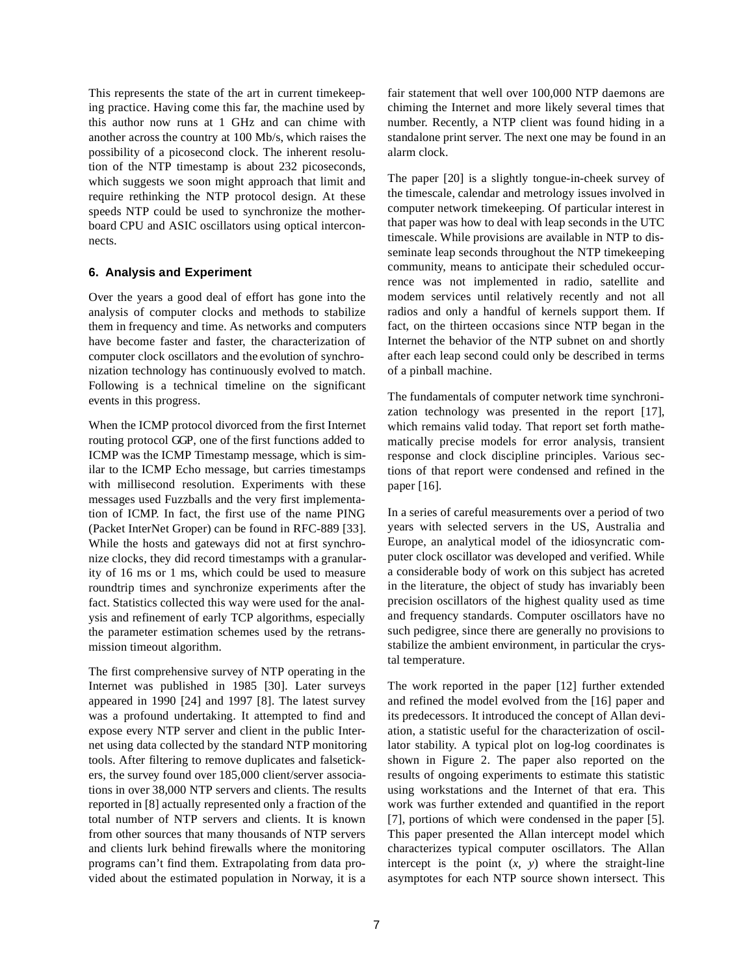This represents the state of the art in current timekeeping practice. Having come this far, the machine used by this author now runs at 1 GHz and can chime with another across the country at 100 Mb/s, which raises the possibility of a picosecond clock. The inherent resolution of the NTP timestamp is about 232 picoseconds, which suggests we soon might approach that limit and require rethinking the NTP protocol design. At these speeds NTP could be used to synchronize the motherboard CPU and ASIC oscillators using optical interconnects.

## **6. Analysis and Experiment**

Over the years a good deal of effort has gone into the analysis of computer clocks and methods to stabilize them in frequency and time. As networks and computers have become faster and faster, the characterization of computer clock oscillators and the evolution of synchronization technology has continuously evolved to match. Following is a technical timeline on the significant events in this progress.

When the ICMP protocol divorced from the first Internet routing protocol GGP, one of the first functions added to ICMP was the ICMP Timestamp message, which is similar to the ICMP Echo message, but carries timestamps with millisecond resolution. Experiments with these messages used Fuzzballs and the very first implementation of ICMP. In fact, the first use of the name PING (Packet InterNet Groper) can be found in RFC-889 [33]. While the hosts and gateways did not at first synchronize clocks, they did record timestamps with a granularity of 16 ms or 1 ms, which could be used to measure roundtrip times and synchronize experiments after the fact. Statistics collected this way were used for the analysis and refinement of early TCP algorithms, especially the parameter estimation schemes used by the retransmission timeout algorithm.

The first comprehensive survey of NTP operating in the Internet was published in 1985 [30]. Later surveys appeared in 1990 [24] and 1997 [8]. The latest survey was a profound undertaking. It attempted to find and expose every NTP server and client in the public Internet using data collected by the standard NTP monitoring tools. After filtering to remove duplicates and falsetickers, the survey found over 185,000 client/server associations in over 38,000 NTP servers and clients. The results reported in [8] actually represented only a fraction of the total number of NTP servers and clients. It is known from other sources that many thousands of NTP servers and clients lurk behind firewalls where the monitoring programs can't find them. Extrapolating from data provided about the estimated population in Norway, it is a

fair statement that well over 100,000 NTP daemons are chiming the Internet and more likely several times that number. Recently, a NTP client was found hiding in a standalone print server. The next one may be found in an alarm clock.

The paper [20] is a slightly tongue-in-cheek survey of the timescale, calendar and metrology issues involved in computer network timekeeping. Of particular interest in that paper was how to deal with leap seconds in the UTC timescale. While provisions are available in NTP to disseminate leap seconds throughout the NTP timekeeping community, means to anticipate their scheduled occurrence was not implemented in radio, satellite and modem services until relatively recently and not all radios and only a handful of kernels support them. If fact, on the thirteen occasions since NTP began in the Internet the behavior of the NTP subnet on and shortly after each leap second could only be described in terms of a pinball machine.

The fundamentals of computer network time synchronization technology was presented in the report [17], which remains valid today. That report set forth mathematically precise models for error analysis, transient response and clock discipline principles. Various sections of that report were condensed and refined in the paper [16].

In a series of careful measurements over a period of two years with selected servers in the US, Australia and Europe, an analytical model of the idiosyncratic computer clock oscillator was developed and verified. While a considerable body of work on this subject has acreted in the literature, the object of study has invariably been precision oscillators of the highest quality used as time and frequency standards. Computer oscillators have no such pedigree, since there are generally no provisions to stabilize the ambient environment, in particular the crystal temperature.

The work reported in the paper [12] further extended and refined the model evolved from the [16] paper and its predecessors. It introduced the concept of Allan deviation, a statistic useful for the characterization of oscillator stability. A typical plot on log-log coordinates is shown in Figure 2. The paper also reported on the results of ongoing experiments to estimate this statistic using workstations and the Internet of that era. This work was further extended and quantified in the report [7], portions of which were condensed in the paper [5]. This paper presented the Allan intercept model which characterizes typical computer oscillators. The Allan intercept is the point  $(x, y)$  where the straight-line asymptotes for each NTP source shown intersect. This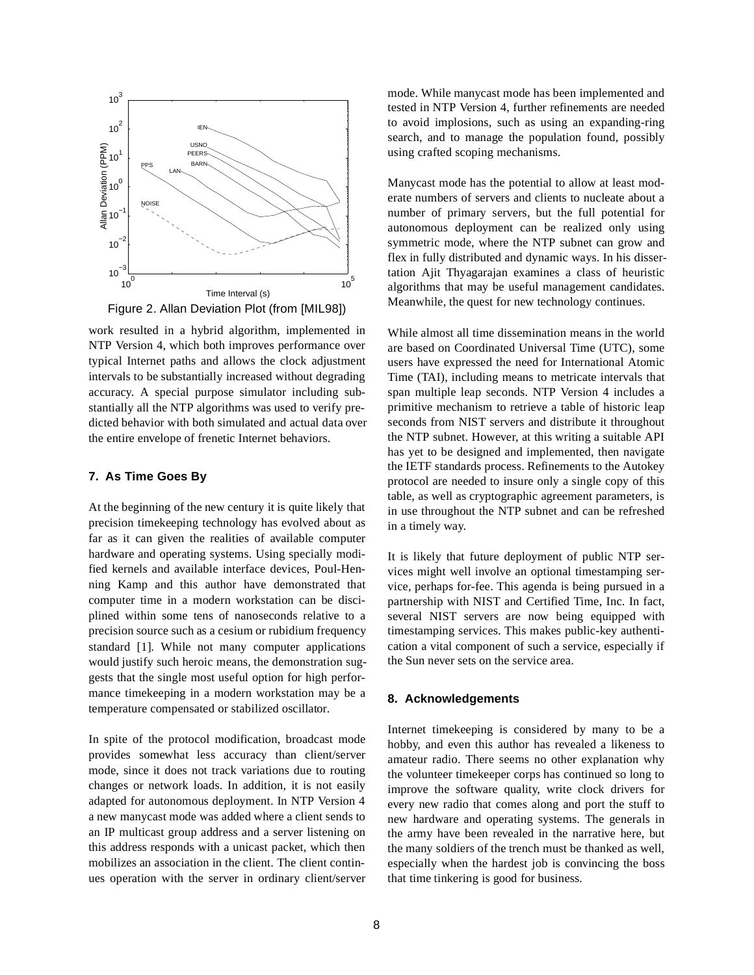

Figure 2. Allan Deviation Plot (from [MIL98])

work resulted in a hybrid algorithm, implemented in NTP Version 4, which both improves performance over typical Internet paths and allows the clock adjustment intervals to be substantially increased without degrading accuracy. A special purpose simulator including substantially all the NTP algorithms was used to verify predicted behavior with both simulated and actual data over the entire envelope of frenetic Internet behaviors.

## **7. As Time Goes By**

At the beginning of the new century it is quite likely that precision timekeeping technology has evolved about as far as it can given the realities of available computer hardware and operating systems. Using specially modified kernels and available interface devices, Poul-Henning Kamp and this author have demonstrated that computer time in a modern workstation can be disciplined within some tens of nanoseconds relative to a precision source such as a cesium or rubidium frequency standard [1]. While not many computer applications would justify such heroic means, the demonstration suggests that the single most useful option for high performance timekeeping in a modern workstation may be a temperature compensated or stabilized oscillator.

In spite of the protocol modification, broadcast mode provides somewhat less accuracy than client/server mode, since it does not track variations due to routing changes or network loads. In addition, it is not easily adapted for autonomous deployment. In NTP Version 4 a new manycast mode was added where a client sends to an IP multicast group address and a server listening on this address responds with a unicast packet, which then mobilizes an association in the client. The client continues operation with the server in ordinary client/server mode. While manycast mode has been implemented and tested in NTP Version 4, further refinements are needed to avoid implosions, such as using an expanding-ring search, and to manage the population found, possibly using crafted scoping mechanisms.

Manycast mode has the potential to allow at least moderate numbers of servers and clients to nucleate about a number of primary servers, but the full potential for autonomous deployment can be realized only using symmetric mode, where the NTP subnet can grow and flex in fully distributed and dynamic ways. In his dissertation Ajit Thyagarajan examines a class of heuristic algorithms that may be useful management candidates. Meanwhile, the quest for new technology continues.

While almost all time dissemination means in the world are based on Coordinated Universal Time (UTC), some users have expressed the need for International Atomic Time (TAI), including means to metricate intervals that span multiple leap seconds. NTP Version 4 includes a primitive mechanism to retrieve a table of historic leap seconds from NIST servers and distribute it throughout the NTP subnet. However, at this writing a suitable API has yet to be designed and implemented, then navigate the IETF standards process. Refinements to the Autokey protocol are needed to insure only a single copy of this table, as well as cryptographic agreement parameters, is in use throughout the NTP subnet and can be refreshed in a timely way.

It is likely that future deployment of public NTP services might well involve an optional timestamping service, perhaps for-fee. This agenda is being pursued in a partnership with NIST and Certified Time, Inc. In fact, several NIST servers are now being equipped with timestamping services. This makes public-key authentication a vital component of such a service, especially if the Sun never sets on the service area.

## **8. Acknowledgements**

Internet timekeeping is considered by many to be a hobby, and even this author has revealed a likeness to amateur radio. There seems no other explanation why the volunteer timekeeper corps has continued so long to improve the software quality, write clock drivers for every new radio that comes along and port the stuff to new hardware and operating systems. The generals in the army have been revealed in the narrative here, but the many soldiers of the trench must be thanked as well, especially when the hardest job is convincing the boss that time tinkering is good for business.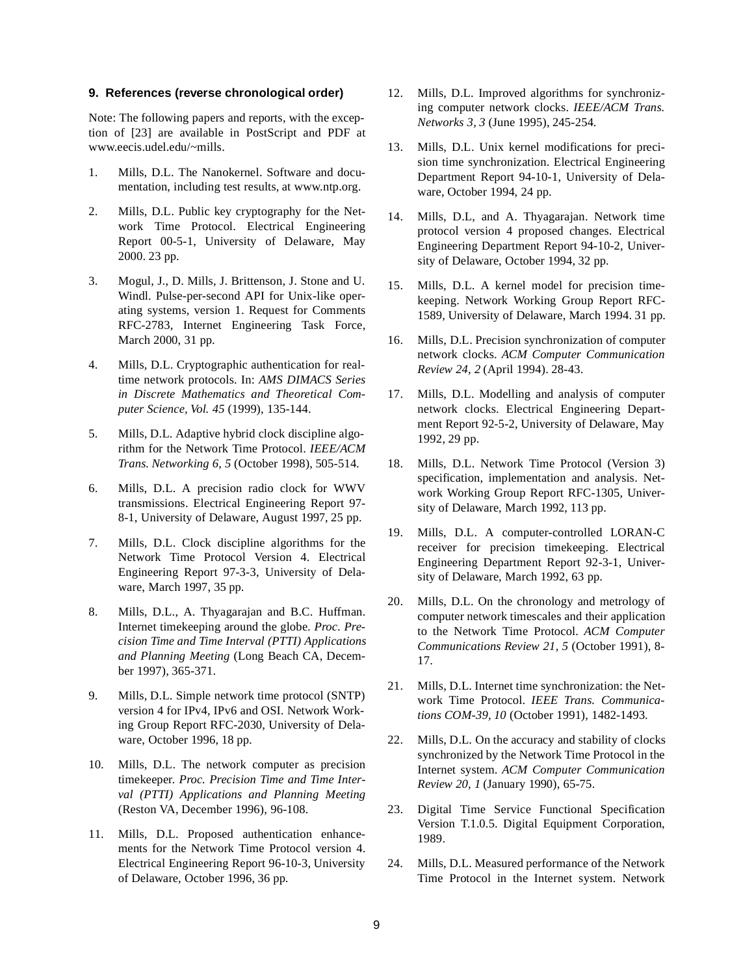#### **9. References (reverse chronological order)**

Note: The following papers and reports, with the exception of [23] are available in PostScript and PDF at www.eecis.udel.edu/~mills.

- 1. Mills, D.L. The Nanokernel. Software and documentation, including test results, at www.ntp.org.
- 2. Mills, D.L. Public key cryptography for the Network Time Protocol. Electrical Engineering Report 00-5-1, University of Delaware, May 2000. 23 pp.
- 3. Mogul, J., D. Mills, J. Brittenson, J. Stone and U. Windl. Pulse-per-second API for Unix-like operating systems, version 1. Request for Comments RFC-2783, Internet Engineering Task Force, March 2000, 31 pp.
- 4. Mills, D.L. Cryptographic authentication for realtime network protocols. In: *AMS DIMACS Series in Discrete Mathematics and Theoretical Computer Science, Vol. 45* (1999), 135-144.
- 5. Mills, D.L. Adaptive hybrid clock discipline algorithm for the Network Time Protocol. *IEEE/ACM Trans. Networking 6, 5* (October 1998), 505-514.
- 6. Mills, D.L. A precision radio clock for WWV transmissions. Electrical Engineering Report 97- 8-1, University of Delaware, August 1997, 25 pp.
- 7. Mills, D.L. Clock discipline algorithms for the Network Time Protocol Version 4. Electrical Engineering Report 97-3-3, University of Delaware, March 1997, 35 pp.
- 8. Mills, D.L., A. Thyagarajan and B.C. Huffman. Internet timekeeping around the globe. *Proc. Precision Time and Time Interval (PTTI) Applications and Planning Meeting* (Long Beach CA, December 1997), 365-371.
- 9. Mills, D.L. Simple network time protocol (SNTP) version 4 for IPv4, IPv6 and OSI. Network Working Group Report RFC-2030, University of Delaware, October 1996, 18 pp.
- 10. Mills, D.L. The network computer as precision timekeeper. *Proc. Precision Time and Time Interval (PTTI) Applications and Planning Meeting* (Reston VA, December 1996), 96-108.
- 11. Mills, D.L. Proposed authentication enhancements for the Network Time Protocol version 4. Electrical Engineering Report 96-10-3, University of Delaware, October 1996, 36 pp.
- 12. Mills, D.L. Improved algorithms for synchronizing computer network clocks. *IEEE/ACM Trans. Networks 3, 3* (June 1995), 245-254.
- 13. Mills, D.L. Unix kernel modifications for precision time synchronization. Electrical Engineering Department Report 94-10-1, University of Delaware, October 1994, 24 pp.
- 14. Mills, D.L, and A. Thyagarajan. Network time protocol version 4 proposed changes. Electrical Engineering Department Report 94-10-2, University of Delaware, October 1994, 32 pp.
- 15. Mills, D.L. A kernel model for precision timekeeping. Network Working Group Report RFC-1589, University of Delaware, March 1994. 31 pp.
- 16. Mills, D.L. Precision synchronization of computer network clocks. *ACM Computer Communication Review 24, 2* (April 1994). 28-43.
- 17. Mills, D.L. Modelling and analysis of computer network clocks. Electrical Engineering Department Report 92-5-2, University of Delaware, May 1992, 29 pp.
- 18. Mills, D.L. Network Time Protocol (Version 3) specification, implementation and analysis. Network Working Group Report RFC-1305, University of Delaware, March 1992, 113 pp.
- 19. Mills, D.L. A computer-controlled LORAN-C receiver for precision timekeeping. Electrical Engineering Department Report 92-3-1, University of Delaware, March 1992, 63 pp.
- 20. Mills, D.L. On the chronology and metrology of computer network timescales and their application to the Network Time Protocol. *ACM Computer Communications Review 21, 5* (October 1991), 8- 17.
- 21. Mills, D.L. Internet time synchronization: the Network Time Protocol. *IEEE Trans. Communications COM-39, 10* (October 1991), 1482-1493.
- 22. Mills, D.L. On the accuracy and stability of clocks synchronized by the Network Time Protocol in the Internet system. *ACM Computer Communication Review 20, 1* (January 1990), 65-75.
- 23. Digital Time Service Functional Specification Version T.1.0.5. Digital Equipment Corporation, 1989.
- 24. Mills, D.L. Measured performance of the Network Time Protocol in the Internet system. Network